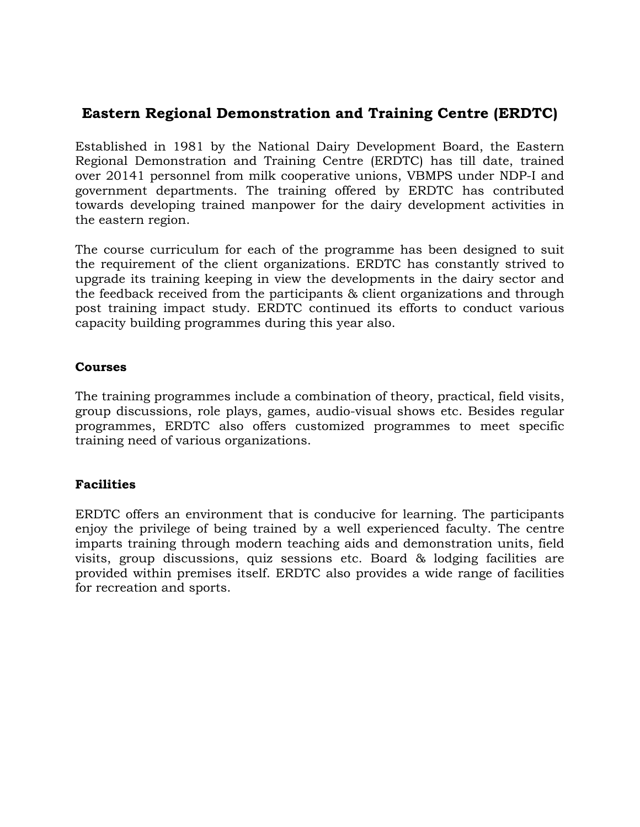## **Eastern Regional Demonstration and Training Centre (ERDTC)**

Established in 1981 by the National Dairy Development Board, the Eastern Regional Demonstration and Training Centre (ERDTC) has till date, trained over 20141 personnel from milk cooperative unions, VBMPS under NDP-I and government departments. The training offered by ERDTC has contributed towards developing trained manpower for the dairy development activities in the eastern region.

The course curriculum for each of the programme has been designed to suit the requirement of the client organizations. ERDTC has constantly strived to upgrade its training keeping in view the developments in the dairy sector and the feedback received from the participants & client organizations and through post training impact study. ERDTC continued its efforts to conduct various capacity building programmes during this year also.

#### **Courses**

The training programmes include a combination of theory, practical, field visits, group discussions, role plays, games, audio-visual shows etc. Besides regular programmes, ERDTC also offers customized programmes to meet specific training need of various organizations.

#### **Facilities**

ERDTC offers an environment that is conducive for learning. The participants enjoy the privilege of being trained by a well experienced faculty. The centre imparts training through modern teaching aids and demonstration units, field visits, group discussions, quiz sessions etc. Board & lodging facilities are provided within premises itself. ERDTC also provides a wide range of facilities for recreation and sports.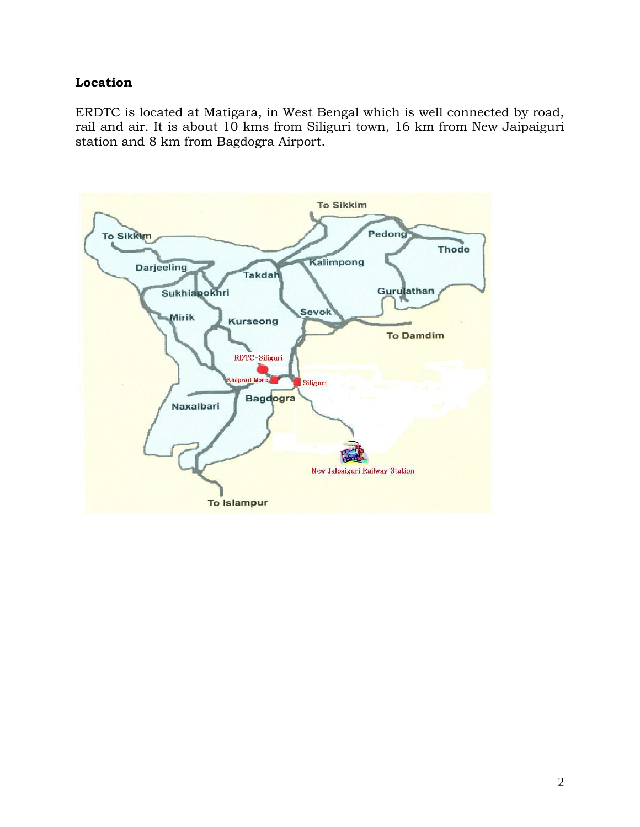#### **Location**

ERDTC is located at Matigara, in West Bengal which is well connected by road, rail and air. It is about 10 kms from Siliguri town, 16 km from New Jaipaiguri station and 8 km from Bagdogra Airport.

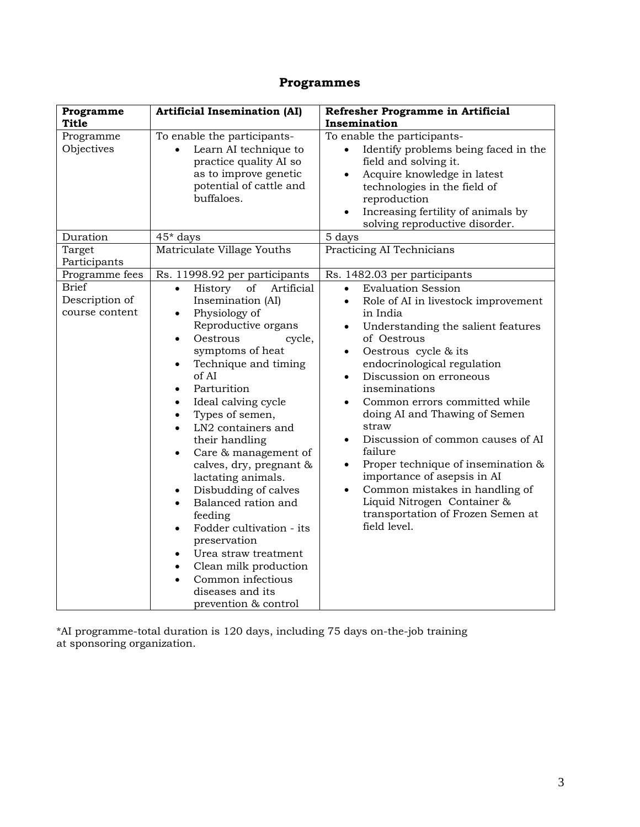# **Programmes**

| Programme                                        | <b>Artificial Insemination (AI)</b>                                                                                                                                                                                                                                                                                                                                                                                                                                                                                                                                                                                                                                                                                                                 | Refresher Programme in Artificial                                                                                                                                                                                                                                                                                                                                                                                                                                                                                                                                                                                                                                               |
|--------------------------------------------------|-----------------------------------------------------------------------------------------------------------------------------------------------------------------------------------------------------------------------------------------------------------------------------------------------------------------------------------------------------------------------------------------------------------------------------------------------------------------------------------------------------------------------------------------------------------------------------------------------------------------------------------------------------------------------------------------------------------------------------------------------------|---------------------------------------------------------------------------------------------------------------------------------------------------------------------------------------------------------------------------------------------------------------------------------------------------------------------------------------------------------------------------------------------------------------------------------------------------------------------------------------------------------------------------------------------------------------------------------------------------------------------------------------------------------------------------------|
| <b>Title</b>                                     |                                                                                                                                                                                                                                                                                                                                                                                                                                                                                                                                                                                                                                                                                                                                                     | Insemination                                                                                                                                                                                                                                                                                                                                                                                                                                                                                                                                                                                                                                                                    |
| Programme<br>Objectives                          | To enable the participants-<br>Learn AI technique to<br>$\bullet$<br>practice quality AI so<br>as to improve genetic<br>potential of cattle and<br>buffaloes.                                                                                                                                                                                                                                                                                                                                                                                                                                                                                                                                                                                       | To enable the participants-<br>Identify problems being faced in the<br>$\bullet$<br>field and solving it.<br>Acquire knowledge in latest<br>$\bullet$<br>technologies in the field of<br>reproduction<br>Increasing fertility of animals by<br>$\bullet$<br>solving reproductive disorder.                                                                                                                                                                                                                                                                                                                                                                                      |
| Duration                                         | 45* days                                                                                                                                                                                                                                                                                                                                                                                                                                                                                                                                                                                                                                                                                                                                            | 5 days                                                                                                                                                                                                                                                                                                                                                                                                                                                                                                                                                                                                                                                                          |
| Target<br>Participants                           | Matriculate Village Youths                                                                                                                                                                                                                                                                                                                                                                                                                                                                                                                                                                                                                                                                                                                          | Practicing AI Technicians                                                                                                                                                                                                                                                                                                                                                                                                                                                                                                                                                                                                                                                       |
| Programme fees                                   | Rs. 11998.92 per participants                                                                                                                                                                                                                                                                                                                                                                                                                                                                                                                                                                                                                                                                                                                       | Rs. 1482.03 per participants                                                                                                                                                                                                                                                                                                                                                                                                                                                                                                                                                                                                                                                    |
| <b>Brief</b><br>Description of<br>course content | History<br>of<br>Artificial<br>$\bullet$<br>Insemination (AI)<br>Physiology of<br>$\bullet$<br>Reproductive organs<br>Oestrous<br>cycle,<br>$\bullet$<br>symptoms of heat<br>Technique and timing<br>$\bullet$<br>of AI<br>Parturition<br>$\bullet$<br>Ideal calving cycle<br>$\bullet$<br>Types of semen,<br>$\bullet$<br>LN2 containers and<br>$\bullet$<br>their handling<br>Care & management of<br>$\bullet$<br>calves, dry, pregnant &<br>lactating animals.<br>Disbudding of calves<br>٠<br>Balanced ration and<br>$\bullet$<br>feeding<br>Fodder cultivation - its<br>$\bullet$<br>preservation<br>Urea straw treatment<br>$\bullet$<br>Clean milk production<br>$\bullet$<br>Common infectious<br>diseases and its<br>prevention & control | <b>Evaluation Session</b><br>$\bullet$<br>Role of AI in livestock improvement<br>$\bullet$<br>in India<br>Understanding the salient features<br>$\bullet$<br>of Oestrous<br>Oestrous cycle & its<br>$\bullet$<br>endocrinological regulation<br>Discussion on erroneous<br>$\bullet$<br>inseminations<br>Common errors committed while<br>$\bullet$<br>doing AI and Thawing of Semen<br>straw<br>Discussion of common causes of AI<br>$\bullet$<br>failure<br>Proper technique of insemination &<br>$\bullet$<br>importance of asepsis in AI<br>Common mistakes in handling of<br>$\bullet$<br>Liquid Nitrogen Container &<br>transportation of Frozen Semen at<br>field level. |

\*AI programme-total duration is 120 days, including 75 days on-the-job training at sponsoring organization.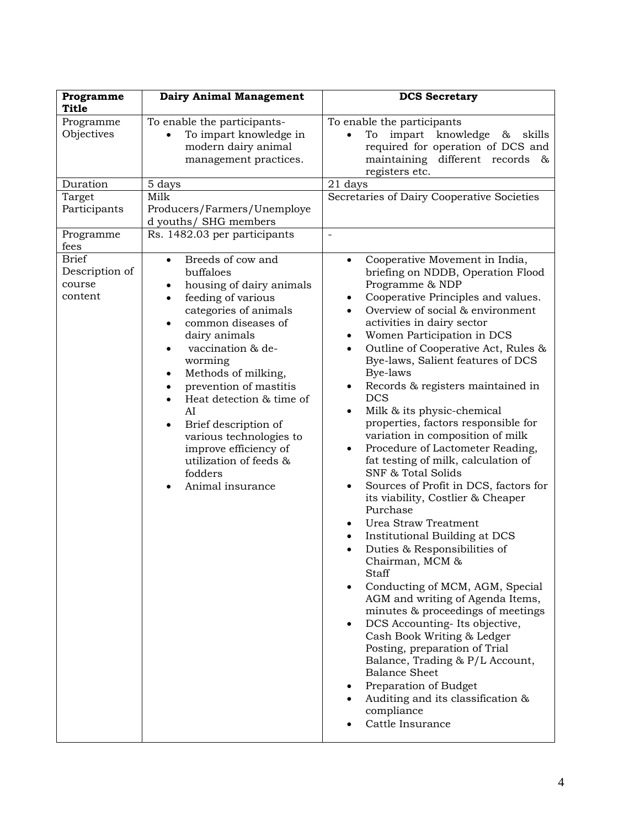| Programme<br>Title                           | <b>Dairy Animal Management</b>                                                                                                                                                                                                                                                                                                                                                                                        | <b>DCS Secretary</b>                                                                                                                                                                                                                                                                                                                                                                                                                                                                                                                                                                                                                                                                                                                                                                                                                                                                                                                                                                                                                                                                                                                                                                                                                                                                       |
|----------------------------------------------|-----------------------------------------------------------------------------------------------------------------------------------------------------------------------------------------------------------------------------------------------------------------------------------------------------------------------------------------------------------------------------------------------------------------------|--------------------------------------------------------------------------------------------------------------------------------------------------------------------------------------------------------------------------------------------------------------------------------------------------------------------------------------------------------------------------------------------------------------------------------------------------------------------------------------------------------------------------------------------------------------------------------------------------------------------------------------------------------------------------------------------------------------------------------------------------------------------------------------------------------------------------------------------------------------------------------------------------------------------------------------------------------------------------------------------------------------------------------------------------------------------------------------------------------------------------------------------------------------------------------------------------------------------------------------------------------------------------------------------|
| Programme<br>Objectives                      | To enable the participants-<br>To impart knowledge in<br>modern dairy animal<br>management practices.                                                                                                                                                                                                                                                                                                                 | To enable the participants<br>impart knowledge &<br>skills<br>To<br>required for operation of DCS and<br>maintaining different records<br>$\infty$<br>registers etc.                                                                                                                                                                                                                                                                                                                                                                                                                                                                                                                                                                                                                                                                                                                                                                                                                                                                                                                                                                                                                                                                                                                       |
| Duration                                     | 5 days                                                                                                                                                                                                                                                                                                                                                                                                                | 21 days                                                                                                                                                                                                                                                                                                                                                                                                                                                                                                                                                                                                                                                                                                                                                                                                                                                                                                                                                                                                                                                                                                                                                                                                                                                                                    |
| Target<br>Participants                       | Milk<br>Producers/Farmers/Unemploye<br>d youths/ SHG members                                                                                                                                                                                                                                                                                                                                                          | Secretaries of Dairy Cooperative Societies                                                                                                                                                                                                                                                                                                                                                                                                                                                                                                                                                                                                                                                                                                                                                                                                                                                                                                                                                                                                                                                                                                                                                                                                                                                 |
| Programme<br>fees                            | Rs. 1482.03 per participants                                                                                                                                                                                                                                                                                                                                                                                          |                                                                                                                                                                                                                                                                                                                                                                                                                                                                                                                                                                                                                                                                                                                                                                                                                                                                                                                                                                                                                                                                                                                                                                                                                                                                                            |
| Brief<br>Description of<br>course<br>content | Breeds of cow and<br>$\bullet$<br>buffaloes<br>housing of dairy animals<br>feeding of various<br>categories of animals<br>common diseases of<br>dairy animals<br>vaccination & de-<br>worming<br>Methods of milking,<br>prevention of mastitis<br>Heat detection & time of<br>AI<br>Brief description of<br>various technologies to<br>improve efficiency of<br>utilization of feeds &<br>fodders<br>Animal insurance | Cooperative Movement in India,<br>$\bullet$<br>briefing on NDDB, Operation Flood<br>Programme & NDP<br>Cooperative Principles and values.<br>Overview of social & environment<br>activities in dairy sector<br>Women Participation in DCS<br>$\bullet$<br>Outline of Cooperative Act, Rules &<br>$\bullet$<br>Bye-laws, Salient features of DCS<br>Bye-laws<br>Records & registers maintained in<br>$\bullet$<br><b>DCS</b><br>Milk & its physic-chemical<br>$\bullet$<br>properties, factors responsible for<br>variation in composition of milk<br>Procedure of Lactometer Reading,<br>$\bullet$<br>fat testing of milk, calculation of<br><b>SNF &amp; Total Solids</b><br>Sources of Profit in DCS, factors for<br>$\bullet$<br>its viability, Costlier & Cheaper<br>Purchase<br>Urea Straw Treatment<br>Institutional Building at DCS<br>Duties & Responsibilities of<br>$\bullet$<br>Chairman, MCM &<br>Staff<br>Conducting of MCM, AGM, Special<br>AGM and writing of Agenda Items,<br>minutes & proceedings of meetings<br>DCS Accounting-Its objective,<br>Cash Book Writing & Ledger<br>Posting, preparation of Trial<br>Balance, Trading & P/L Account,<br><b>Balance Sheet</b><br>Preparation of Budget<br>Auditing and its classification &<br>compliance<br>Cattle Insurance |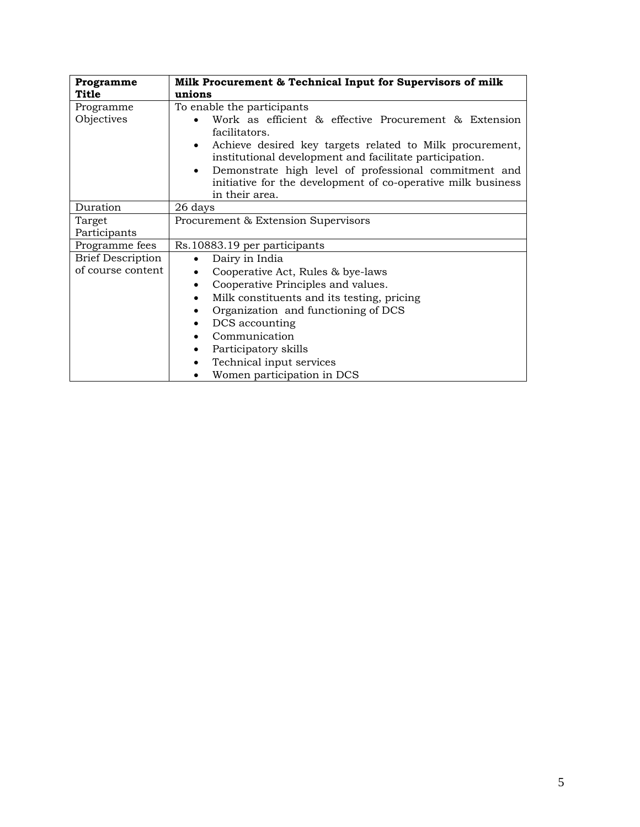| Programme                                     | Milk Procurement & Technical Input for Supervisors of milk                                                                                                                                                                                                                                                                                                                          |  |
|-----------------------------------------------|-------------------------------------------------------------------------------------------------------------------------------------------------------------------------------------------------------------------------------------------------------------------------------------------------------------------------------------------------------------------------------------|--|
| <b>Title</b>                                  | unions                                                                                                                                                                                                                                                                                                                                                                              |  |
| Programme<br>Objectives                       | To enable the participants<br>Work as efficient & effective Procurement & Extension<br>facilitators.<br>Achieve desired key targets related to Milk procurement,<br>institutional development and facilitate participation.<br>Demonstrate high level of professional commitment and<br>$\bullet$<br>initiative for the development of co-operative milk business<br>in their area. |  |
| Duration                                      | 26 days                                                                                                                                                                                                                                                                                                                                                                             |  |
| Target<br>Participants                        | Procurement & Extension Supervisors                                                                                                                                                                                                                                                                                                                                                 |  |
| Programme fees                                | Rs.10883.19 per participants                                                                                                                                                                                                                                                                                                                                                        |  |
| <b>Brief Description</b><br>of course content | Dairy in India<br>Cooperative Act, Rules & bye-laws<br>Cooperative Principles and values.<br>٠<br>Milk constituents and its testing, pricing<br>٠<br>Organization and functioning of DCS<br>DCS accounting<br>٠<br>Communication<br>Participatory skills<br>Technical input services<br>٠<br>Women participation in DCS                                                             |  |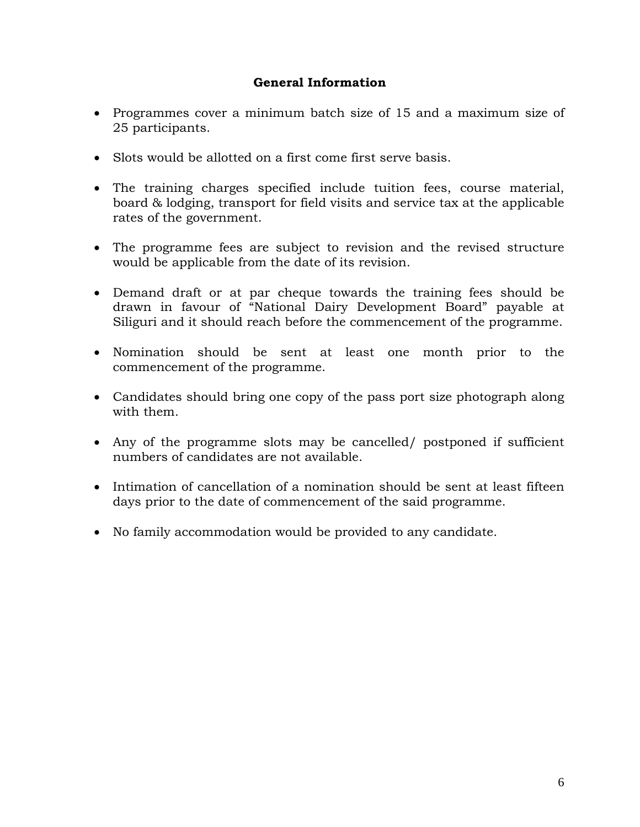### **General Information**

- Programmes cover a minimum batch size of 15 and a maximum size of 25 participants.
- Slots would be allotted on a first come first serve basis.
- The training charges specified include tuition fees, course material, board & lodging, transport for field visits and service tax at the applicable rates of the government.
- The programme fees are subject to revision and the revised structure would be applicable from the date of its revision.
- Demand draft or at par cheque towards the training fees should be drawn in favour of "National Dairy Development Board" payable at Siliguri and it should reach before the commencement of the programme.
- Nomination should be sent at least one month prior to the commencement of the programme.
- Candidates should bring one copy of the pass port size photograph along with them.
- Any of the programme slots may be cancelled/ postponed if sufficient numbers of candidates are not available.
- Intimation of cancellation of a nomination should be sent at least fifteen days prior to the date of commencement of the said programme.
- No family accommodation would be provided to any candidate.